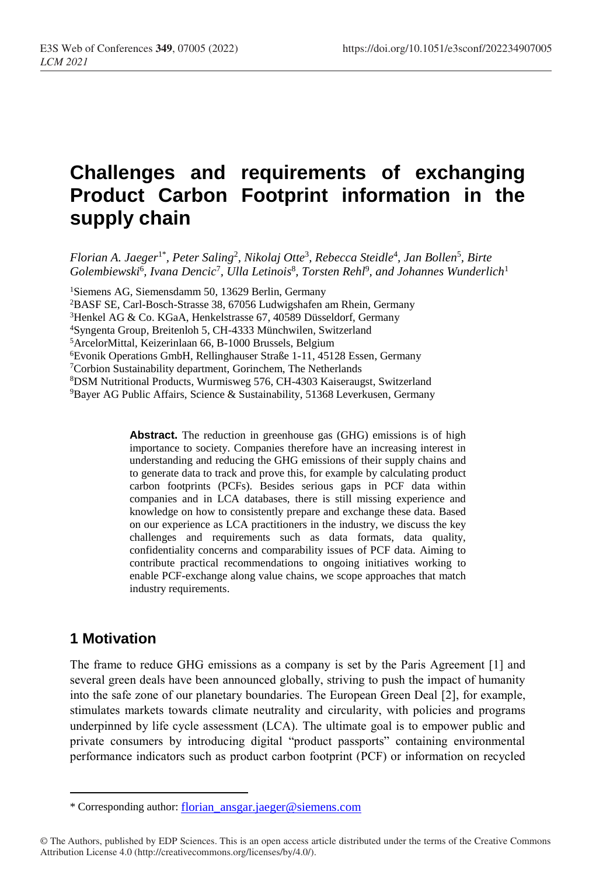# **Challenges and requirements of exchanging Product Carbon Footprint information in the supply chain**

*Florian A. Jaeger*1\* *, Peter Saling*<sup>2</sup> *, Nikolaj Otte*<sup>3</sup> *, Rebecca Steidle*<sup>4</sup> *, Jan Bollen*<sup>5</sup> *, Birte Golembiewski*<sup>6</sup> *, Ivana Dencic*<sup>7</sup> *, Ulla Letinois*<sup>8</sup> *, Torsten Rehl*<sup>9</sup> *, and Johannes Wunderlich*<sup>1</sup>

<sup>1</sup>Siemens AG, Siemensdamm 50, 13629 Berlin, Germany

<sup>2</sup>BASF SE, Carl-Bosch-Strasse 38, 67056 Ludwigshafen am Rhein, Germany

<sup>3</sup>Henkel AG & Co. KGaA, Henkelstrasse 67, 40589 Düsseldorf, Germany

<sup>4</sup>Syngenta Group, Breitenloh 5, CH-4333 Münchwilen, Switzerland

<sup>5</sup>ArcelorMittal, Keizerinlaan 66, B-1000 Brussels, Belgium

<sup>6</sup>Evonik Operations GmbH, Rellinghauser Straße 1-11, 45128 Essen, Germany

<sup>7</sup>Corbion Sustainability department, Gorinchem, The Netherlands

<sup>8</sup>DSM Nutritional Products, Wurmisweg 576, CH-4303 Kaiseraugst, Switzerland

<sup>9</sup>Bayer AG Public Affairs, Science & Sustainability, 51368 Leverkusen, Germany

**Abstract.** The reduction in greenhouse gas (GHG) emissions is of high importance to society. Companies therefore have an increasing interest in understanding and reducing the GHG emissions of their supply chains and to generate data to track and prove this, for example by calculating product carbon footprints (PCFs). Besides serious gaps in PCF data within companies and in LCA databases, there is still missing experience and knowledge on how to consistently prepare and exchange these data. Based on our experience as LCA practitioners in the industry, we discuss the key challenges and requirements such as data formats, data quality, confidentiality concerns and comparability issues of PCF data. Aiming to contribute practical recommendations to ongoing initiatives working to enable PCF-exchange along value chains, we scope approaches that match industry requirements.

#### **1 Motivation**

 $\overline{a}$ 

The frame to reduce GHG emissions as a company is set by the Paris Agreement [1] and several green deals have been announced globally, striving to push the impact of humanity into the safe zone of our planetary boundaries. The European Green Deal [2], for example, stimulates markets towards climate neutrality and circularity, with policies and programs underpinned by life cycle assessment (LCA). The ultimate goal is to empower public and private consumers by introducing digital "product passports" containing environmental performance indicators such as product carbon footprint (PCF) or information on recycled

<sup>\*</sup> Corresponding author: [florian\\_ansgar.jaeger@siemens.com](mailto:florian_ansgar.jaeger@siemens.com)

<sup>©</sup> The Authors, published by EDP Sciences. This is an open access article distributed under the terms of the Creative Commons Attribution License 4.0 (http://creativecommons.org/licenses/by/4.0/).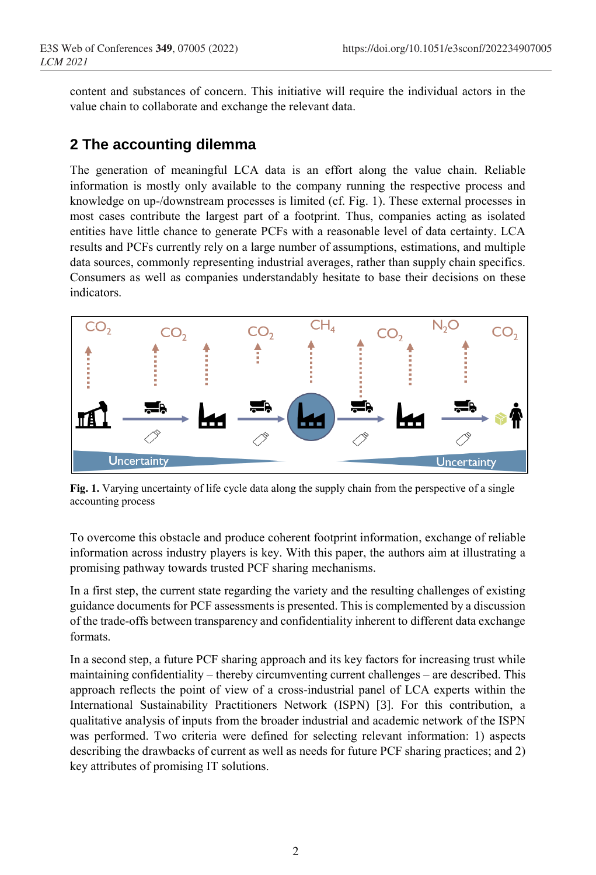content and substances of concern. This initiative will require the individual actors in the value chain to collaborate and exchange the relevant data.

### **2 The accounting dilemma**

The generation of meaningful LCA data is an effort along the value chain. Reliable information is mostly only available to the company running the respective process and knowledge on up-/downstream processes is limited (cf. Fig. 1). These external processes in most cases contribute the largest part of a footprint. Thus, companies acting as isolated entities have little chance to generate PCFs with a reasonable level of data certainty. LCA results and PCFs currently rely on a large number of assumptions, estimations, and multiple data sources, commonly representing industrial averages, rather than supply chain specifics. Consumers as well as companies understandably hesitate to base their decisions on these indicators.



**Fig. 1.** Varying uncertainty of life cycle data along the supply chain from the perspective of a single accounting process

To overcome this obstacle and produce coherent footprint information, exchange of reliable information across industry players is key. With this paper, the authors aim at illustrating a promising pathway towards trusted PCF sharing mechanisms.

In a first step, the current state regarding the variety and the resulting challenges of existing guidance documents for PCF assessments is presented. This is complemented by a discussion of the trade-offs between transparency and confidentiality inherent to different data exchange formats.

In a second step, a future PCF sharing approach and its key factors for increasing trust while maintaining confidentiality – thereby circumventing current challenges – are described. This approach reflects the point of view of a cross-industrial panel of LCA experts within the International Sustainability Practitioners Network (ISPN) [3]. For this contribution, a qualitative analysis of inputs from the broader industrial and academic network of the ISPN was performed. Two criteria were defined for selecting relevant information: 1) aspects describing the drawbacks of current as well as needs for future PCF sharing practices; and 2) key attributes of promising IT solutions.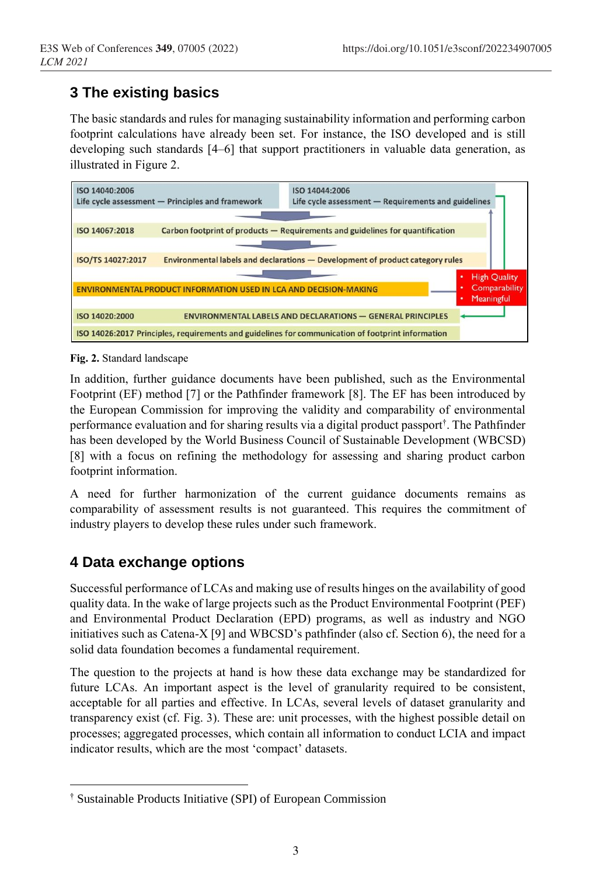# **3 The existing basics**

The basic standards and rules for managing sustainability information and performing carbon footprint calculations have already been set. For instance, the ISO developed and is still developing such standards [4–6] that support practitioners in valuable data generation, as illustrated in Figure 2.



#### **Fig. 2.** Standard landscape

In addition, further guidance documents have been published, such as the Environmental Footprint (EF) method [7] or the Pathfinder framework [8]. The EF has been introduced by the European Commission for improving the validity and comparability of environmental performance evaluation and for sharing results via a digital product passport† . The Pathfinder has been developed by the World Business Council of Sustainable Development (WBCSD) [8] with a focus on refining the methodology for assessing and sharing product carbon footprint information.

A need for further harmonization of the current guidance documents remains as comparability of assessment results is not guaranteed. This requires the commitment of industry players to develop these rules under such framework.

#### **4 Data exchange options**

 $\overline{a}$ 

Successful performance of LCAs and making use of results hinges on the availability of good quality data. In the wake of large projects such as the Product Environmental Footprint (PEF) and Environmental Product Declaration (EPD) programs, as well as industry and NGO initiatives such as Catena-X [9] and WBCSD's pathfinder (also cf. Section 6), the need for a solid data foundation becomes a fundamental requirement.

The question to the projects at hand is how these data exchange may be standardized for future LCAs. An important aspect is the level of granularity required to be consistent, acceptable for all parties and effective. In LCAs, several levels of dataset granularity and transparency exist (cf. Fig. 3). These are: unit processes, with the highest possible detail on processes; aggregated processes, which contain all information to conduct LCIA and impact indicator results, which are the most 'compact' datasets.

<sup>†</sup> Sustainable Products Initiative (SPI) of European Commission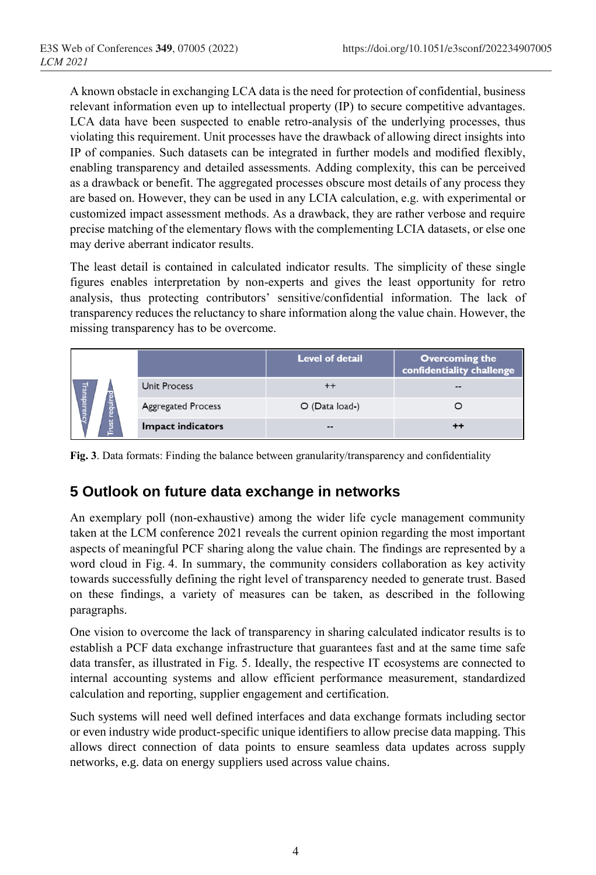A known obstacle in exchanging LCA data is the need for protection of confidential, business relevant information even up to intellectual property (IP) to secure competitive advantages. LCA data have been suspected to enable retro-analysis of the underlying processes, thus violating this requirement. Unit processes have the drawback of allowing direct insights into IP of companies. Such datasets can be integrated in further models and modified flexibly, enabling transparency and detailed assessments. Adding complexity, this can be perceived as a drawback or benefit. The aggregated processes obscure most details of any process they are based on. However, they can be used in any LCIA calculation, e.g. with experimental or customized impact assessment methods. As a drawback, they are rather verbose and require precise matching of the elementary flows with the complementing LCIA datasets, or else one may derive aberrant indicator results.

The least detail is contained in calculated indicator results. The simplicity of these single figures enables interpretation by non-experts and gives the least opportunity for retro analysis, thus protecting contributors' sensitive/confidential information. The lack of transparency reduces the reluctancy to share information along the value chain. However, the missing transparency has to be overcome.

|                              |                           | <b>Level of detail</b> | <b>Overcoming the</b><br>confidentiality challenge |
|------------------------------|---------------------------|------------------------|----------------------------------------------------|
| Transparenc<br>È<br>ust<br>≐ | <b>Unit Process</b>       |                        | --                                                 |
|                              | <b>Aggregated Process</b> | $O$ (Data load-)       |                                                    |
|                              | <b>Impact indicators</b>  | $\sim$ $\sim$          | ++                                                 |

**Fig. 3**. Data formats: Finding the balance between granularity/transparency and confidentiality

# **5 Outlook on future data exchange in networks**

An exemplary poll (non-exhaustive) among the wider life cycle management community taken at the LCM conference 2021 reveals the current opinion regarding the most important aspects of meaningful PCF sharing along the value chain. The findings are represented by a word cloud in Fig. 4. In summary, the community considers collaboration as key activity towards successfully defining the right level of transparency needed to generate trust. Based on these findings, a variety of measures can be taken, as described in the following paragraphs.

One vision to overcome the lack of transparency in sharing calculated indicator results is to establish a PCF data exchange infrastructure that guarantees fast and at the same time safe data transfer, as illustrated in Fig. 5. Ideally, the respective IT ecosystems are connected to internal accounting systems and allow efficient performance measurement, standardized calculation and reporting, supplier engagement and certification.

Such systems will need well defined interfaces and data exchange formats including sector or even industry wide product-specific unique identifiers to allow precise data mapping. This allows direct connection of data points to ensure seamless data updates across supply networks, e.g. data on energy suppliers used across value chains.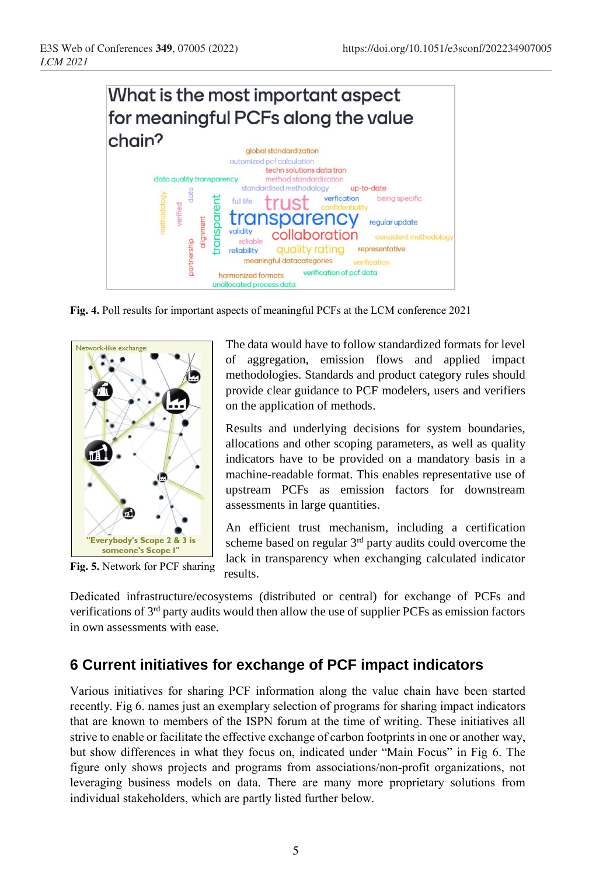

**Fig. 4.** Poll results for important aspects of meaningful PCFs at the LCM conference 2021



**Fig. 5.** Network for PCF sharing

The data would have to follow standardized formats for level of aggregation, emission flows and applied impact methodologies. Standards and product category rules should provide clear guidance to PCF modelers, users and verifiers on the application of methods.

Results and underlying decisions for system boundaries, allocations and other scoping parameters, as well as quality indicators have to be provided on a mandatory basis in a machine-readable format. This enables representative use of upstream PCFs as emission factors for downstream assessments in large quantities.

An efficient trust mechanism, including a certification scheme based on regular  $3<sup>rd</sup>$  party audits could overcome the lack in transparency when exchanging calculated indicator results.

Dedicated infrastructure/ecosystems (distributed or central) for exchange of PCFs and verifications of 3rd party audits would then allow the use of supplier PCFs as emission factors in own assessments with ease.

# **6 Current initiatives for exchange of PCF impact indicators**

Various initiatives for sharing PCF information along the value chain have been started recently. Fig 6. names just an exemplary selection of programs for sharing impact indicators that are known to members of the ISPN forum at the time of writing. These initiatives all strive to enable or facilitate the effective exchange of carbon footprints in one or another way, but show differences in what they focus on, indicated under "Main Focus" in Fig 6. The figure only shows projects and programs from associations/non-profit organizations, not leveraging business models on data. There are many more proprietary solutions from individual stakeholders, which are partly listed further below.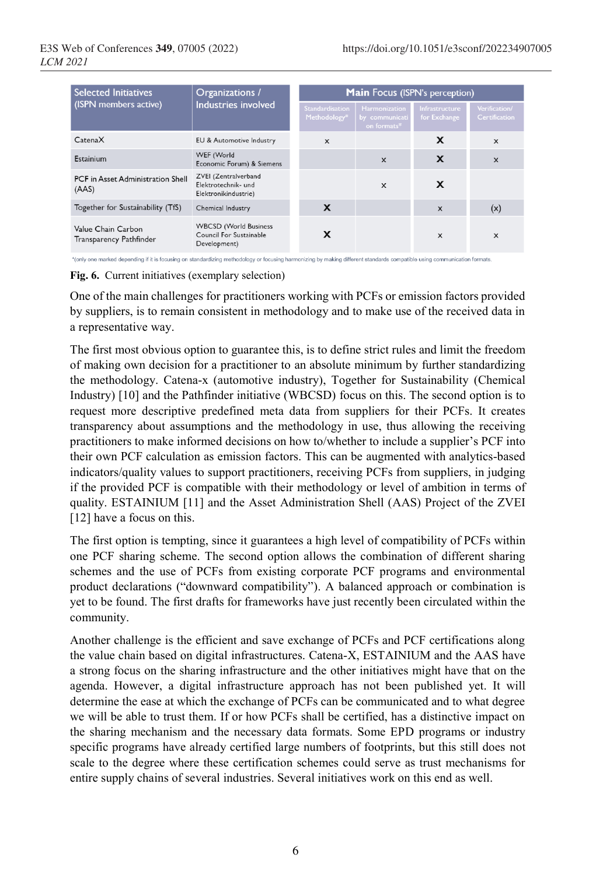| <b>Selected Initiatives</b>                   | Organizations /<br>Industries involved                                  | <b>Main</b> Focus (ISPN's perception)  |                                                       |                                |                                       |
|-----------------------------------------------|-------------------------------------------------------------------------|----------------------------------------|-------------------------------------------------------|--------------------------------|---------------------------------------|
| (ISPN members active)                         |                                                                         | <b>Standardisation</b><br>Methodology* | <b>Harmonization</b><br>by communicati<br>on formats* | Infrastructure<br>for Exchange | Verification/<br><b>Certification</b> |
| CatenaX                                       | EU & Automotive Industry                                                | X                                      |                                                       | X                              | $\mathsf{x}$                          |
| Estainium                                     | WEF (World<br>Economic Forum) & Siemens                                 |                                        | $\boldsymbol{\mathsf{x}}$                             | X                              | $\mathsf{x}$                          |
| PCF in Asset Administration Shell<br>(AAS)    | ZVEI (Zentralverband<br>Elektrotechnik- und<br>Elektronikindustrie)     |                                        | $\mathsf{x}$                                          | X                              |                                       |
| Together for Sustainability (TfS)             | Chemical Industry                                                       | X                                      |                                                       | $\mathsf{x}$                   | (x)                                   |
| Value Chain Carbon<br>Transparency Pathfinder | <b>WBCSD</b> (World Business<br>Council For Sustainable<br>Development) | x                                      |                                                       | X                              | X                                     |

\*(only one marked depending if it is focusing on standardizing methodology or focusing harmonizing by making different standards compatible using communication formats.

**Fig. 6.** Current initiatives (exemplary selection)

One of the main challenges for practitioners working with PCFs or emission factors provided by suppliers, is to remain consistent in methodology and to make use of the received data in a representative way.

The first most obvious option to guarantee this, is to define strict rules and limit the freedom of making own decision for a practitioner to an absolute minimum by further standardizing the methodology. Catena-x (automotive industry), Together for Sustainability (Chemical Industry) [10] and the Pathfinder initiative (WBCSD) focus on this. The second option is to request more descriptive predefined meta data from suppliers for their PCFs. It creates transparency about assumptions and the methodology in use, thus allowing the receiving practitioners to make informed decisions on how to/whether to include a supplier's PCF into their own PCF calculation as emission factors. This can be augmented with analytics-based indicators/quality values to support practitioners, receiving PCFs from suppliers, in judging if the provided PCF is compatible with their methodology or level of ambition in terms of quality. ESTAINIUM [11] and the Asset Administration Shell (AAS) Project of the ZVEI [12] have a focus on this.

The first option is tempting, since it guarantees a high level of compatibility of PCFs within one PCF sharing scheme. The second option allows the combination of different sharing schemes and the use of PCFs from existing corporate PCF programs and environmental product declarations ("downward compatibility"). A balanced approach or combination is yet to be found. The first drafts for frameworks have just recently been circulated within the community.

Another challenge is the efficient and save exchange of PCFs and PCF certifications along the value chain based on digital infrastructures. Catena-X, ESTAINIUM and the AAS have a strong focus on the sharing infrastructure and the other initiatives might have that on the agenda. However, a digital infrastructure approach has not been published yet. It will determine the ease at which the exchange of PCFs can be communicated and to what degree we will be able to trust them. If or how PCFs shall be certified, has a distinctive impact on the sharing mechanism and the necessary data formats. Some EPD programs or industry specific programs have already certified large numbers of footprints, but this still does not scale to the degree where these certification schemes could serve as trust mechanisms for entire supply chains of several industries. Several initiatives work on this end as well.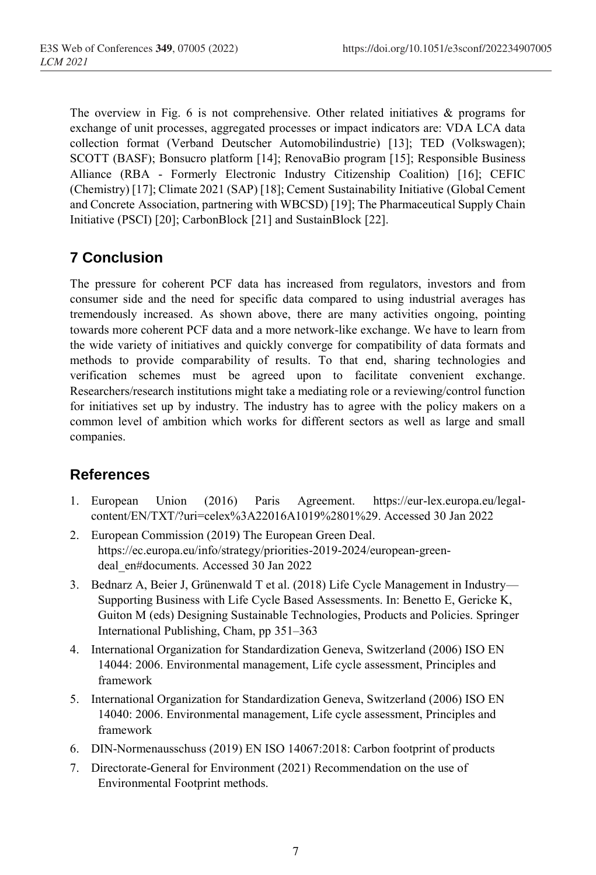The overview in Fig. 6 is not comprehensive. Other related initiatives  $\&$  programs for exchange of unit processes, aggregated processes or impact indicators are: VDA LCA data collection format (Verband Deutscher Automobilindustrie) [13]; TED (Volkswagen); SCOTT (BASF); Bonsucro platform [14]; RenovaBio program [15]; Responsible Business Alliance (RBA - Formerly Electronic Industry Citizenship Coalition) [16]; CEFIC (Chemistry) [17]; Climate 2021 (SAP) [18]; Cement Sustainability Initiative (Global Cement and Concrete Association, partnering with WBCSD) [19]; The Pharmaceutical Supply Chain Initiative (PSCI) [20]; CarbonBlock [21] and SustainBlock [22].

# **7 Conclusion**

The pressure for coherent PCF data has increased from regulators, investors and from consumer side and the need for specific data compared to using industrial averages has tremendously increased. As shown above, there are many activities ongoing, pointing towards more coherent PCF data and a more network-like exchange. We have to learn from the wide variety of initiatives and quickly converge for compatibility of data formats and methods to provide comparability of results. To that end, sharing technologies and verification schemes must be agreed upon to facilitate convenient exchange. Researchers/research institutions might take a mediating role or a reviewing/control function for initiatives set up by industry. The industry has to agree with the policy makers on a common level of ambition which works for different sectors as well as large and small companies.

#### **References**

- 1. European Union (2016) Paris Agreement. https://eur-lex.europa.eu/legalcontent/EN/TXT/?uri=celex%3A22016A1019%2801%29. Accessed 30 Jan 2022
- 2. European Commission (2019) The European Green Deal. https://ec.europa.eu/info/strategy/priorities-2019-2024/european-greendeal\_en#documents. Accessed 30 Jan 2022
- 3. Bednarz A, Beier J, Grünenwald T et al. (2018) Life Cycle Management in Industry— Supporting Business with Life Cycle Based Assessments. In: Benetto E, Gericke K, Guiton M (eds) Designing Sustainable Technologies, Products and Policies. Springer International Publishing, Cham, pp 351–363
- 4. International Organization for Standardization Geneva, Switzerland (2006) ISO EN 14044: 2006. Environmental management, Life cycle assessment, Principles and framework
- 5. International Organization for Standardization Geneva, Switzerland (2006) ISO EN 14040: 2006. Environmental management, Life cycle assessment, Principles and framework
- 6. DIN-Normenausschuss (2019) EN ISO 14067:2018: Carbon footprint of products
- 7. Directorate-General for Environment (2021) Recommendation on the use of Environmental Footprint methods.